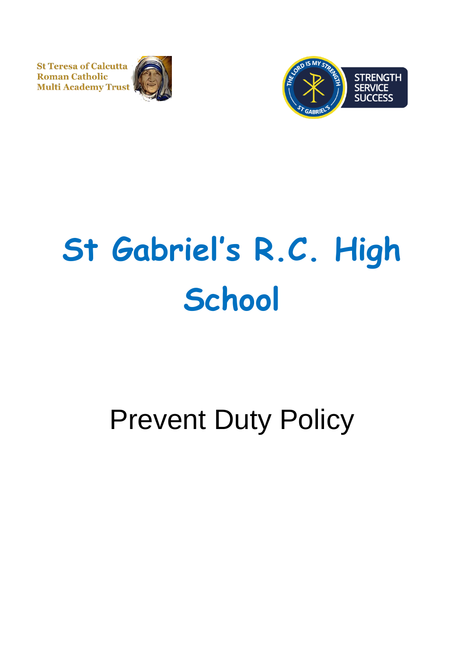**St Teresa of Calcutta Roman Catholic Multi Academy Trust** 





# **St Gabriel's R.C. High School**

# Prevent Duty Policy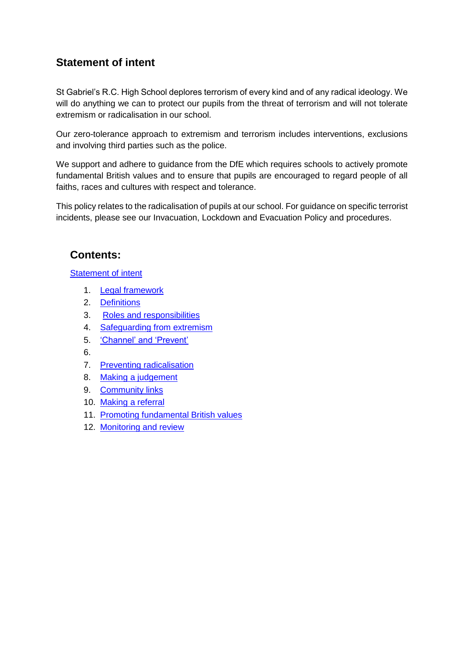# **Statement of intent**

St Gabriel's R.C. High School deplores terrorism of every kind and of any radical ideology. We will do anything we can to protect our pupils from the threat of terrorism and will not tolerate extremism or radicalisation in our school.

Our zero-tolerance approach to extremism and terrorism includes interventions, exclusions and involving third parties such as the police.

We support and adhere to guidance from the DfE which requires schools to actively promote fundamental British values and to ensure that pupils are encouraged to regard people of all faiths, races and cultures with respect and tolerance.

This policy relates to the radicalisation of pupils at our school. For guidance on specific terrorist incidents, please see our Invacuation, Lockdown and Evacuation Policy and procedures.

# **Contents:**

[Statement of intent](#page-2-0)

- 1. [Legal framework](#page-2-0)
- 2. [Definitions](#page-2-1)
- 3. [Roles and responsibilities](#page-3-0)
- 4. Safequarding from extremism
- 5. ['Channel' and 'Prevent'](#page-4-0)
- 6.
- 7. [Preventing radicalisation](#page-5-0)
- 8. [Making a judgement](#page-6-0)
- 9. [Community links](#page-8-0)
- 10. [Making a referral](#page-8-1)
- 11. [Promoting fundamental British values](#page-9-0)
- 12. Monitoring and review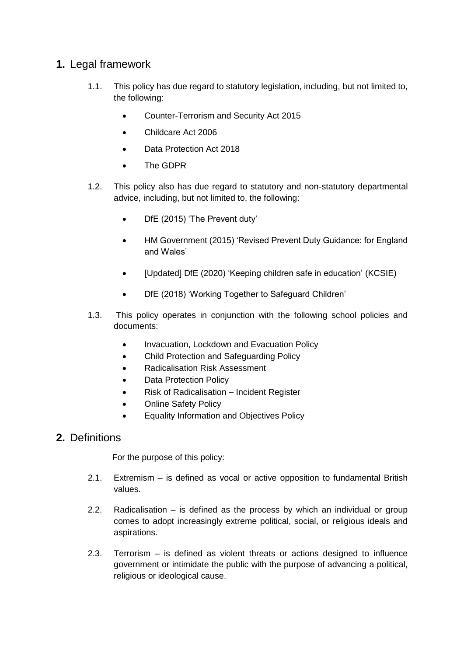## <span id="page-2-0"></span>**1.** Legal framework

- 1.1. This policy has due regard to statutory legislation, including, but not limited to, the following:
	- Counter-Terrorism and Security Act 2015
	- Childcare Act 2006
	- Data Protection Act 2018
	- The GDPR
- 1.2. This policy also has due regard to statutory and non-statutory departmental advice, including, but not limited to, the following:
	- DfE (2015) 'The Prevent duty'
	- HM Government (2015) 'Revised Prevent Duty Guidance: for England and Wales'
	- [Updated] DfE (2020) 'Keeping children safe in education' (KCSIE)
	- DfE (2018) 'Working Together to Safeguard Children'
- 1.3. This policy operates in conjunction with the following school policies and documents:
	- Invacuation, Lockdown and Evacuation Policy
	- Child Protection and Safeguarding Policy
	- Radicalisation Risk Assessment
	- Data Protection Policy
	- Risk of Radicalisation Incident Register
	- Online Safety Policy
	- Equality Information and Objectives Policy

#### <span id="page-2-1"></span>**2.** Definitions

For the purpose of this policy:

- 2.1. Extremism is defined as vocal or active opposition to fundamental British values.
- 2.2. Radicalisation is defined as the process by which an individual or group comes to adopt increasingly extreme political, social, or religious ideals and aspirations.
- 2.3. Terrorism is defined as violent threats or actions designed to influence government or intimidate the public with the purpose of advancing a political, religious or ideological cause.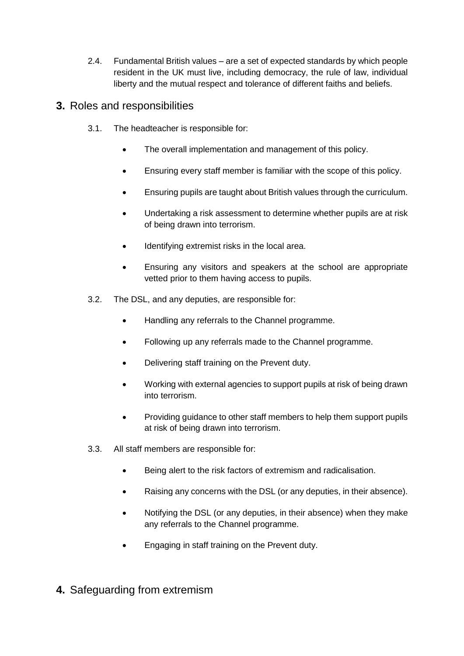2.4. Fundamental British values – are a set of expected standards by which people resident in the UK must live, including democracy, the rule of law, individual liberty and the mutual respect and tolerance of different faiths and beliefs.

# <span id="page-3-0"></span>**3.** Roles and responsibilities

- 3.1. The headteacher is responsible for:
	- The overall implementation and management of this policy.
	- Ensuring every staff member is familiar with the scope of this policy.
	- Ensuring pupils are taught about British values through the curriculum.
	- Undertaking a risk assessment to determine whether pupils are at risk of being drawn into terrorism.
	- Identifying extremist risks in the local area.
	- Ensuring any visitors and speakers at the school are appropriate vetted prior to them having access to pupils.
- 3.2. The DSL, and any deputies, are responsible for:
	- Handling any referrals to the Channel programme.
	- Following up any referrals made to the Channel programme.
	- Delivering staff training on the Prevent duty.
	- Working with external agencies to support pupils at risk of being drawn into terrorism.
	- Providing guidance to other staff members to help them support pupils at risk of being drawn into terrorism.
- 3.3. All staff members are responsible for:
	- Being alert to the risk factors of extremism and radicalisation.
	- Raising any concerns with the DSL (or any deputies, in their absence).
	- Notifying the DSL (or any deputies, in their absence) when they make any referrals to the Channel programme.
	- Engaging in staff training on the Prevent duty.
- <span id="page-3-1"></span>**4.** Safeguarding from extremism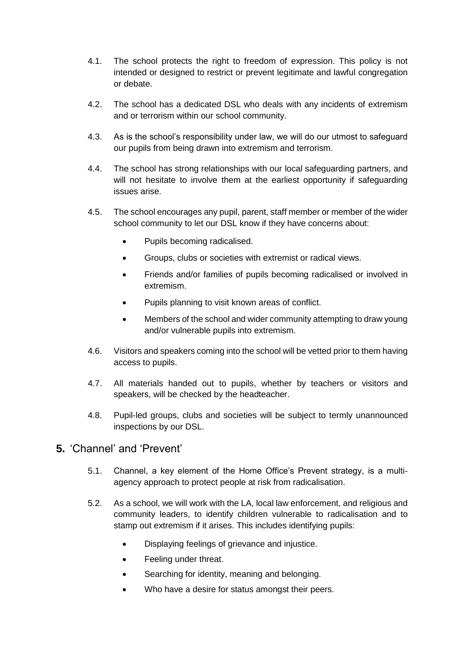- 4.1. The school protects the right to freedom of expression. This policy is not intended or designed to restrict or prevent legitimate and lawful congregation or debate.
- 4.2. The school has a dedicated DSL who deals with any incidents of extremism and or terrorism within our school community.
- 4.3. As is the school's responsibility under law, we will do our utmost to safeguard our pupils from being drawn into extremism and terrorism.
- 4.4. The school has strong relationships with our local safeguarding partners, and will not hesitate to involve them at the earliest opportunity if safeguarding issues arise.
- 4.5. The school encourages any pupil, parent, staff member or member of the wider school community to let our DSL know if they have concerns about:
	- Pupils becoming radicalised.
	- Groups, clubs or societies with extremist or radical views.
	- Friends and/or families of pupils becoming radicalised or involved in extremism.
	- Pupils planning to visit known areas of conflict.
	- Members of the school and wider community attempting to draw young and/or vulnerable pupils into extremism.
- 4.6. Visitors and speakers coming into the school will be vetted prior to them having access to pupils.
- 4.7. All materials handed out to pupils, whether by teachers or visitors and speakers, will be checked by the headteacher.
- 4.8. Pupil-led groups, clubs and societies will be subject to termly unannounced inspections by our DSL.

## <span id="page-4-0"></span>**5.** 'Channel' and 'Prevent'

- 5.1. Channel, a key element of the Home Office's Prevent strategy, is a multiagency approach to protect people at risk from radicalisation.
- 5.2. As a school, we will work with the LA, local law enforcement, and religious and community leaders, to identify children vulnerable to radicalisation and to stamp out extremism if it arises. This includes identifying pupils:
	- Displaying feelings of grievance and injustice.
	- Feeling under threat.
	- Searching for identity, meaning and belonging.
	- Who have a desire for status amongst their peers.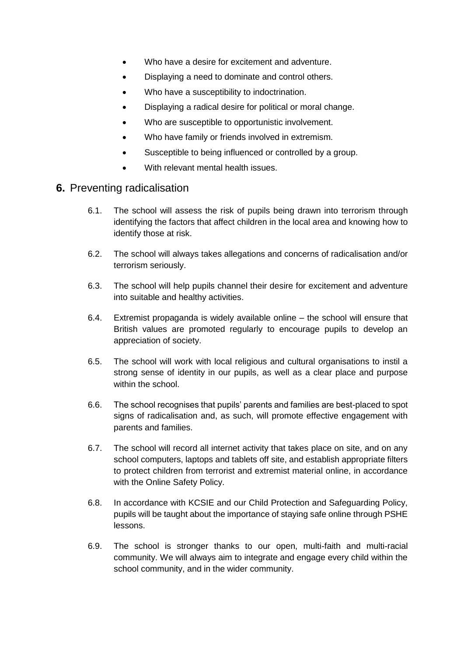- Who have a desire for excitement and adventure.
- Displaying a need to dominate and control others.
- Who have a susceptibility to indoctrination.
- Displaying a radical desire for political or moral change.
- Who are susceptible to opportunistic involvement.
- Who have family or friends involved in extremism.
- Susceptible to being influenced or controlled by a group.
- With relevant mental health issues.

#### <span id="page-5-0"></span>**6.** Preventing radicalisation

- 6.1. The school will assess the risk of pupils being drawn into terrorism through identifying the factors that affect children in the local area and knowing how to identify those at risk.
- 6.2. The school will always takes allegations and concerns of radicalisation and/or terrorism seriously.
- 6.3. The school will help pupils channel their desire for excitement and adventure into suitable and healthy activities.
- 6.4. Extremist propaganda is widely available online the school will ensure that British values are promoted regularly to encourage pupils to develop an appreciation of society.
- 6.5. The school will work with local religious and cultural organisations to instil a strong sense of identity in our pupils, as well as a clear place and purpose within the school.
- 6.6. The school recognises that pupils' parents and families are best-placed to spot signs of radicalisation and, as such, will promote effective engagement with parents and families.
- 6.7. The school will record all internet activity that takes place on site, and on any school computers, laptops and tablets off site, and establish appropriate filters to protect children from terrorist and extremist material online, in accordance with the Online Safety Policy.
- 6.8. In accordance with KCSIE and our Child Protection and Safeguarding Policy, pupils will be taught about the importance of staying safe online through PSHE lessons.
- 6.9. The school is stronger thanks to our open, multi-faith and multi-racial community. We will always aim to integrate and engage every child within the school community, and in the wider community.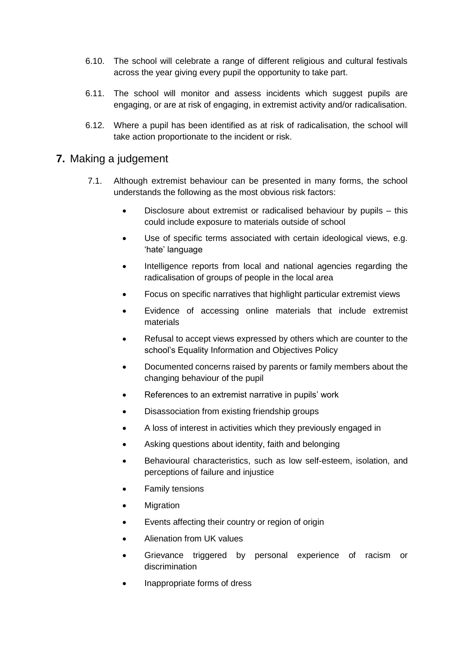- 6.10. The school will celebrate a range of different religious and cultural festivals across the year giving every pupil the opportunity to take part.
- 6.11. The school will monitor and assess incidents which suggest pupils are engaging, or are at risk of engaging, in extremist activity and/or radicalisation.
- 6.12. Where a pupil has been identified as at risk of radicalisation, the school will take action proportionate to the incident or risk.

#### <span id="page-6-0"></span>**7.** Making a judgement

- 7.1. Although extremist behaviour can be presented in many forms, the school understands the following as the most obvious risk factors:
	- Disclosure about extremist or radicalised behaviour by pupils this could include exposure to materials outside of school
	- Use of specific terms associated with certain ideological views, e.g. 'hate' language
	- Intelligence reports from local and national agencies regarding the radicalisation of groups of people in the local area
	- Focus on specific narratives that highlight particular extremist views
	- Evidence of accessing online materials that include extremist materials
	- Refusal to accept views expressed by others which are counter to the school's Equality Information and Objectives Policy
	- Documented concerns raised by parents or family members about the changing behaviour of the pupil
	- References to an extremist narrative in pupils' work
	- Disassociation from existing friendship groups
	- A loss of interest in activities which they previously engaged in
	- Asking questions about identity, faith and belonging
	- Behavioural characteristics, such as low self-esteem, isolation, and perceptions of failure and injustice
	- Family tensions
	- **Migration**
	- Events affecting their country or region of origin
	- Alienation from UK values
	- Grievance triggered by personal experience of racism or discrimination
	- Inappropriate forms of dress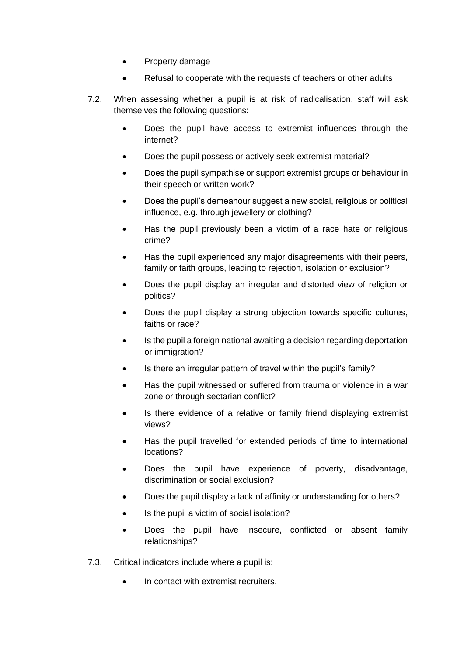- Property damage
- Refusal to cooperate with the requests of teachers or other adults
- 7.2. When assessing whether a pupil is at risk of radicalisation, staff will ask themselves the following questions:
	- Does the pupil have access to extremist influences through the internet?
	- Does the pupil possess or actively seek extremist material?
	- Does the pupil sympathise or support extremist groups or behaviour in their speech or written work?
	- Does the pupil's demeanour suggest a new social, religious or political influence, e.g. through jewellery or clothing?
	- Has the pupil previously been a victim of a race hate or religious crime?
	- Has the pupil experienced any major disagreements with their peers, family or faith groups, leading to rejection, isolation or exclusion?
	- Does the pupil display an irregular and distorted view of religion or politics?
	- Does the pupil display a strong objection towards specific cultures, faiths or race?
	- Is the pupil a foreign national awaiting a decision regarding deportation or immigration?
	- Is there an irregular pattern of travel within the pupil's family?
	- Has the pupil witnessed or suffered from trauma or violence in a war zone or through sectarian conflict?
	- Is there evidence of a relative or family friend displaying extremist views?
	- Has the pupil travelled for extended periods of time to international locations?
	- Does the pupil have experience of poverty, disadvantage, discrimination or social exclusion?
	- Does the pupil display a lack of affinity or understanding for others?
	- Is the pupil a victim of social isolation?
	- Does the pupil have insecure, conflicted or absent family relationships?
- 7.3. Critical indicators include where a pupil is:
	- In contact with extremist recruiters.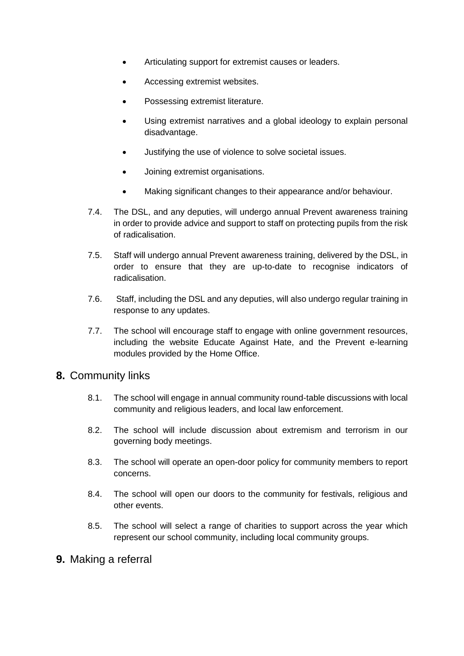- Articulating support for extremist causes or leaders.
- Accessing extremist websites.
- Possessing extremist literature.
- Using extremist narratives and a global ideology to explain personal disadvantage.
- Justifying the use of violence to solve societal issues.
- Joining extremist organisations.
- Making significant changes to their appearance and/or behaviour.
- 7.4. The DSL, and any deputies, will undergo annual Prevent awareness training in order to provide advice and support to staff on protecting pupils from the risk of radicalisation.
- 7.5. Staff will undergo annual Prevent awareness training, delivered by the DSL, in order to ensure that they are up-to-date to recognise indicators of radicalisation.
- 7.6. Staff, including the DSL and any deputies, will also undergo regular training in response to any updates.
- 7.7. The school will encourage staff to engage with online government resources, including the website Educate Against Hate, and the Prevent e-learning modules provided by the Home Office.

#### <span id="page-8-0"></span>**8.** Community links

- 8.1. The school will engage in annual community round-table discussions with local community and religious leaders, and local law enforcement.
- 8.2. The school will include discussion about extremism and terrorism in our governing body meetings.
- 8.3. The school will operate an open-door policy for community members to report concerns.
- 8.4. The school will open our doors to the community for festivals, religious and other events.
- 8.5. The school will select a range of charities to support across the year which represent our school community, including local community groups.

#### <span id="page-8-1"></span>**9.** Making a referral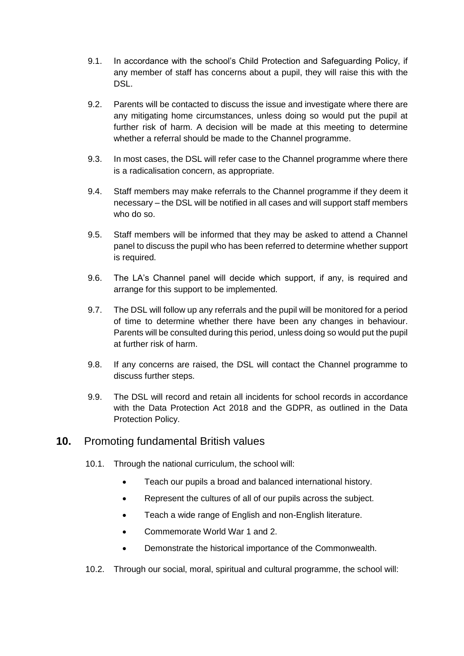- 9.1. In accordance with the school's Child Protection and Safeguarding Policy, if any member of staff has concerns about a pupil, they will raise this with the DSL.
- 9.2. Parents will be contacted to discuss the issue and investigate where there are any mitigating home circumstances, unless doing so would put the pupil at further risk of harm. A decision will be made at this meeting to determine whether a referral should be made to the Channel programme.
- 9.3. In most cases, the DSL will refer case to the Channel programme where there is a radicalisation concern, as appropriate.
- 9.4. Staff members may make referrals to the Channel programme if they deem it necessary – the DSL will be notified in all cases and will support staff members who do so.
- 9.5. Staff members will be informed that they may be asked to attend a Channel panel to discuss the pupil who has been referred to determine whether support is required.
- 9.6. The LA's Channel panel will decide which support, if any, is required and arrange for this support to be implemented.
- 9.7. The DSL will follow up any referrals and the pupil will be monitored for a period of time to determine whether there have been any changes in behaviour. Parents will be consulted during this period, unless doing so would put the pupil at further risk of harm.
- 9.8. If any concerns are raised, the DSL will contact the Channel programme to discuss further steps.
- 9.9. The DSL will record and retain all incidents for school records in accordance with the Data Protection Act 2018 and the GDPR, as outlined in the Data Protection Policy.

## <span id="page-9-0"></span>**10.** Promoting fundamental British values

- 10.1. Through the national curriculum, the school will:
	- Teach our pupils a broad and balanced international history.
	- Represent the cultures of all of our pupils across the subject.
	- Teach a wide range of English and non-English literature.
	- Commemorate World War 1 and 2.
	- Demonstrate the historical importance of the Commonwealth.
- 10.2. Through our social, moral, spiritual and cultural programme, the school will: